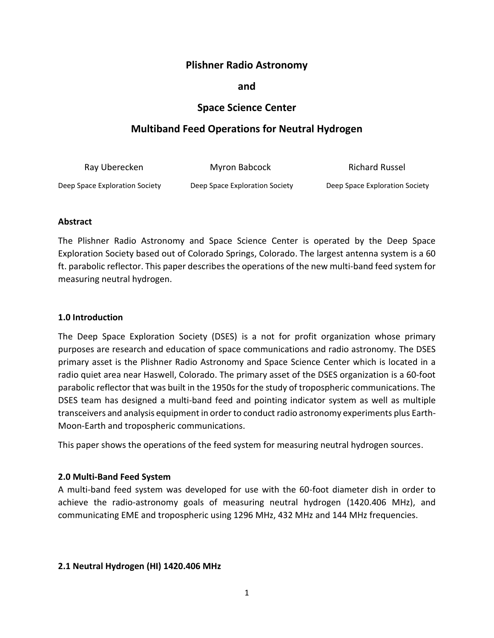# **Plishner Radio Astronomy**

## **and**

## **Space Science Center**

# **Multiband Feed Operations for Neutral Hydrogen**

| Ray Uberecken                  | Myron Babcock                  | Richard Russel                 |
|--------------------------------|--------------------------------|--------------------------------|
| Deep Space Exploration Society | Deep Space Exploration Society | Deep Space Exploration Society |

#### **Abstract**

The Plishner Radio Astronomy and Space Science Center is operated by the Deep Space Exploration Society based out of Colorado Springs, Colorado. The largest antenna system is a 60 ft. parabolic reflector. This paper describes the operations of the new multi-band feed system for measuring neutral hydrogen.

#### **1.0 Introduction**

The Deep Space Exploration Society (DSES) is a not for profit organization whose primary purposes are research and education of space communications and radio astronomy. The DSES primary asset is the Plishner Radio Astronomy and Space Science Center which is located in a radio quiet area near Haswell, Colorado. The primary asset of the DSES organization is a 60-foot parabolic reflector that was built in the 1950s for the study of tropospheric communications. The DSES team has designed a multi-band feed and pointing indicator system as well as multiple transceivers and analysis equipment in order to conduct radio astronomy experiments plus Earth-Moon-Earth and tropospheric communications.

This paper shows the operations of the feed system for measuring neutral hydrogen sources.

## **2.0 Multi-Band Feed System**

A multi-band feed system was developed for use with the 60-foot diameter dish in order to achieve the radio-astronomy goals of measuring neutral hydrogen (1420.406 MHz), and communicating EME and tropospheric using 1296 MHz, 432 MHz and 144 MHz frequencies.

#### **2.1 Neutral Hydrogen (HI) 1420.406 MHz**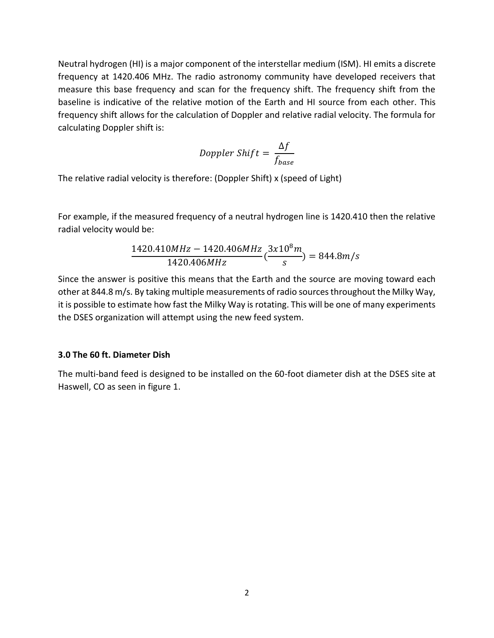Neutral hydrogen (HI) is a major component of the interstellar medium (ISM). HI emits a discrete frequency at 1420.406 MHz. The radio astronomy community have developed receivers that measure this base frequency and scan for the frequency shift. The frequency shift from the baseline is indicative of the relative motion of the Earth and HI source from each other. This frequency shift allows for the calculation of Doppler and relative radial velocity. The formula for calculating Doppler shift is:

$$
Doppler Shift = \frac{\Delta f}{f_{base}}
$$

The relative radial velocity is therefore: (Doppler Shift) x (speed of Light)

For example, if the measured frequency of a neutral hydrogen line is 1420.410 then the relative radial velocity would be:

$$
\frac{1420.410MHz - 1420.406MHz}{1420.406MHz}(\frac{3x10^8m}{s}) = 844.8m/s
$$

Since the answer is positive this means that the Earth and the source are moving toward each other at 844.8 m/s. By taking multiple measurements of radio sources throughout the Milky Way, it is possible to estimate how fast the Milky Way is rotating. This will be one of many experiments the DSES organization will attempt using the new feed system.

#### **3.0 The 60 ft. Diameter Dish**

The multi-band feed is designed to be installed on the 60-foot diameter dish at the DSES site at Haswell, CO as seen in figure 1.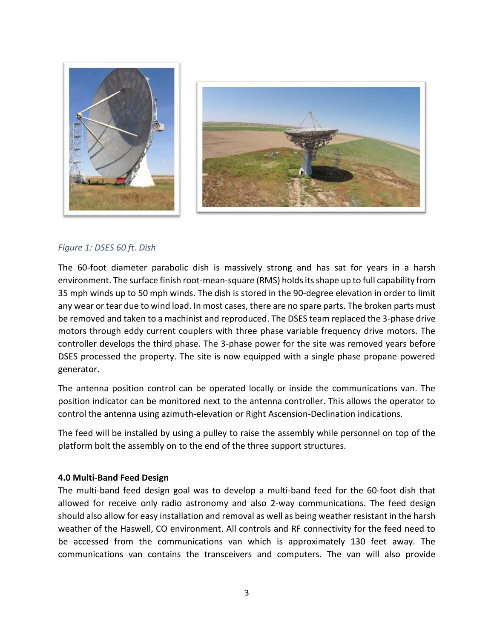



## *Figure 1: DSES 60 ft. Dish*

The 60-foot diameter parabolic dish is massively strong and has sat for years in a harsh environment. The surface finish root-mean-square (RMS) holds its shape up to full capability from 35 mph winds up to 50 mph winds. The dish is stored in the 90-degree elevation in order to limit any wear or tear due to wind load. In most cases, there are no spare parts. The broken parts must be removed and taken to a machinist and reproduced. The DSES team replaced the 3-phase drive motors through eddy current couplers with three phase variable frequency drive motors. The controller develops the third phase. The 3-phase power for the site was removed years before DSES processed the property. The site is now equipped with a single phase propane powered generator.

The antenna position control can be operated locally or inside the communications van. The position indicator can be monitored next to the antenna controller. This allows the operator to control the antenna using azimuth-elevation or Right Ascension-Declination indications.

The feed will be installed by using a pulley to raise the assembly while personnel on top of the platform bolt the assembly on to the end of the three support structures.

## **4.0 Multi-Band Feed Design**

The multi-band feed design goal was to develop a multi-band feed for the 60-foot dish that allowed for receive only radio astronomy and also 2-way communications. The feed design should also allow for easy installation and removal as well as being weather resistant in the harsh weather of the Haswell, CO environment. All controls and RF connectivity for the feed need to be accessed from the communications van which is approximately 130 feet away. The communications van contains the transceivers and computers. The van will also provide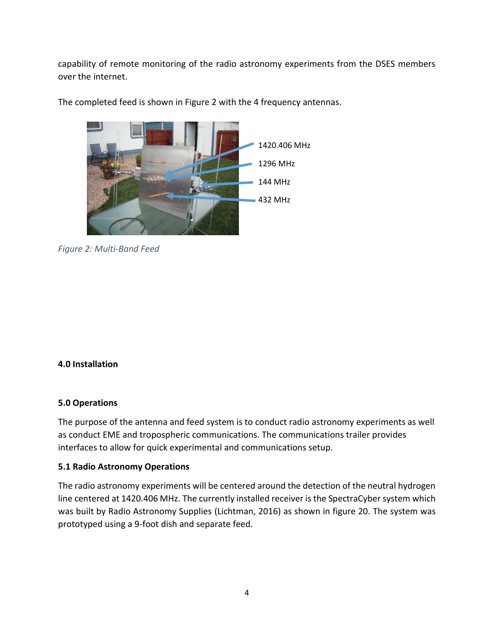capability of remote monitoring of the radio astronomy experiments from the DSES members over the internet.



The completed feed is shown in Figure 2 with the 4 frequency antennas.

*Figure 2: Multi-Band Feed*

## **4.0 Installation**

## **5.0 Operations**

The purpose of the antenna and feed system is to conduct radio astronomy experiments as well as conduct EME and tropospheric communications. The communications trailer provides interfaces to allow for quick experimental and communications setup.

## **5.1 Radio Astronomy Operations**

The radio astronomy experiments will be centered around the detection of the neutral hydrogen line centered at 1420.406 MHz. The currently installed receiver is the SpectraCyber system which was built by Radio Astronomy Supplies (Lichtman, 2016) as shown in figure 20. The system was prototyped using a 9-foot dish and separate feed.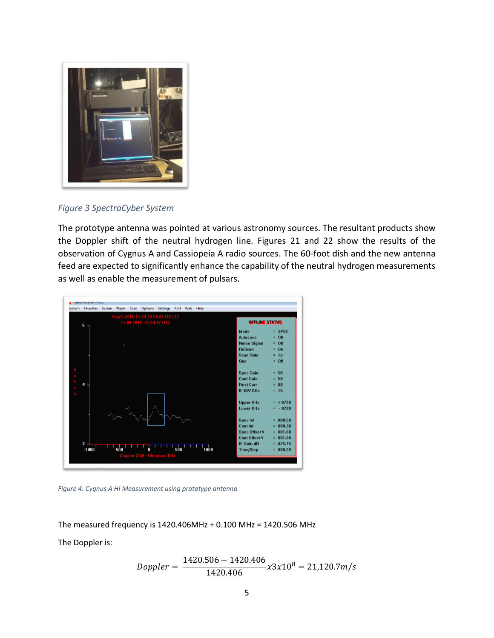

*Figure 3 SpectraCyber System*

The prototype antenna was pointed at various astronomy sources. The resultant products show the Doppler shift of the neutral hydrogen line. Figures 21 and 22 show the results of the observation of Cygnus A and Cassiopeia A radio sources. The 60-foot dish and the new antenna feed are expected to significantly enhance the capability of the neutral hydrogen measurements as well as enable the measurement of pulsars.



*Figure 4: Cygnus A HI Measurement using prototype antenna*

The measured frequency is 1420.406MHz + 0.100 MHz = 1420.506 MHz

The Doppler is:

$$
Doppler = \frac{1420.506 - 1420.406}{1420.406} x3x10^8 = 21,120.7m/s
$$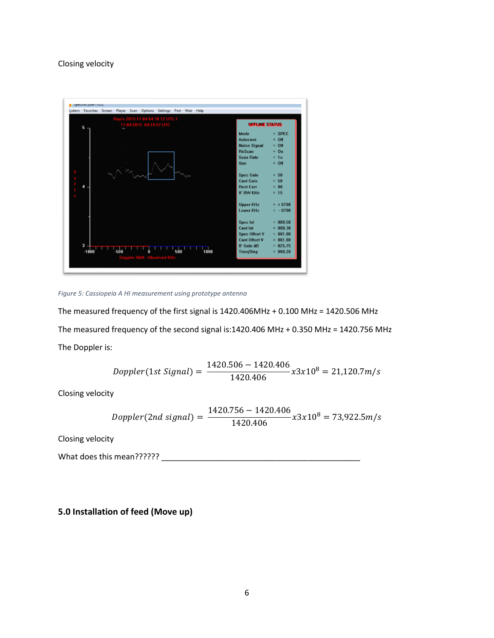## Closing velocity



*Figure 5: Cassiopeia A HI measurement using prototype antenna*

The measured frequency of the first signal is 1420.406MHz + 0.100 MHz = 1420.506 MHz The measured frequency of the second signal is:1420.406 MHz + 0.350 MHz = 1420.756 MHz The Doppler is:

$$
Doppler(1st Signal) = \frac{1420.506 - 1420.406}{1420.406} x3x10^8 = 21,120.7m/s
$$

Closing velocity

$$
Doppler(2nd signal) = \frac{1420.756 - 1420.406}{1420.406} x3x10^8 = 73,922.5 m/s
$$

Closing velocity

What does this mean??????

**5.0 Installation of feed (Move up)**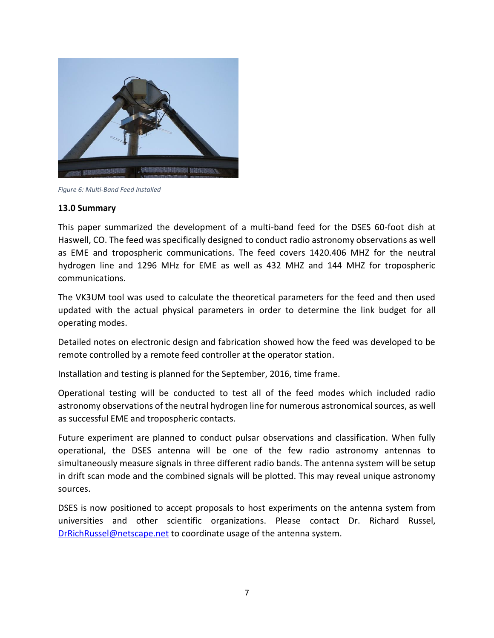

*Figure 6: Multi-Band Feed Installed*

#### **13.0 Summary**

This paper summarized the development of a multi-band feed for the DSES 60-foot dish at Haswell, CO. The feed was specifically designed to conduct radio astronomy observations as well as EME and tropospheric communications. The feed covers 1420.406 MHZ for the neutral hydrogen line and 1296 MHz for EME as well as 432 MHZ and 144 MHZ for tropospheric communications.

The VK3UM tool was used to calculate the theoretical parameters for the feed and then used updated with the actual physical parameters in order to determine the link budget for all operating modes.

Detailed notes on electronic design and fabrication showed how the feed was developed to be remote controlled by a remote feed controller at the operator station.

Installation and testing is planned for the September, 2016, time frame.

Operational testing will be conducted to test all of the feed modes which included radio astronomy observations of the neutral hydrogen line for numerous astronomical sources, as well as successful EME and tropospheric contacts.

Future experiment are planned to conduct pulsar observations and classification. When fully operational, the DSES antenna will be one of the few radio astronomy antennas to simultaneously measure signals in three different radio bands. The antenna system will be setup in drift scan mode and the combined signals will be plotted. This may reveal unique astronomy sources.

DSES is now positioned to accept proposals to host experiments on the antenna system from universities and other scientific organizations. Please contact Dr. Richard Russel, [DrRichRussel@netscape.net](mailto:DrRichRussel@netscape.net) to coordinate usage of the antenna system.